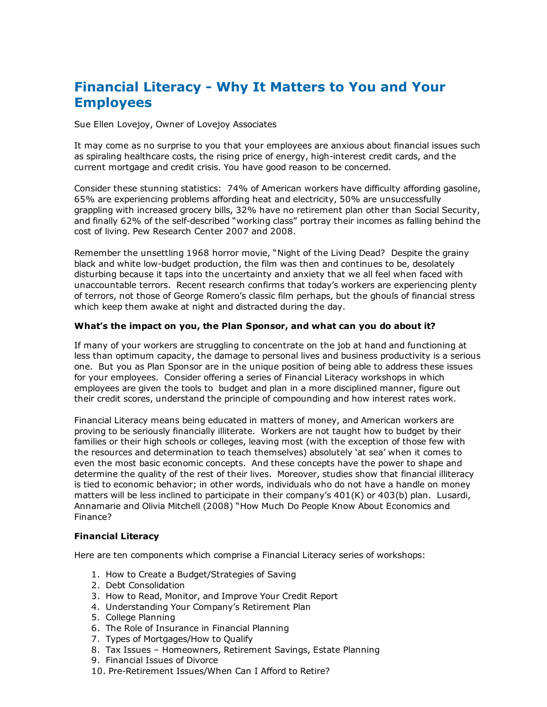# Financial Literacy Why It Matters to You and Your **Employees**

Sue Ellen Lovejoy, Owner of Lovejoy Associates

It may come as no surprise to you that your employees are anxious about financial issues such as spiraling healthcare costs, the rising price of energy, high-interest credit cards, and the current mortgage and credit crisis. You have good reason to be concerned.

Consider these stunning statistics: 74% of American workers have difficulty affording gasoline, 65% are experiencing problems affording heat and electricity, 50% are unsuccessfully grappling with increased grocery bills, 32% have no retirement plan other than Social Security, and finally 62% of the self-described "working class" portray their incomes as falling behind the cost of living. Pew Research Center 2007 and 2008.

Remember the unsettling 1968 horror movie, "Night of the Living Dead? Despite the grainy black and white low-budget production, the film was then and continues to be, desolately disturbing because it taps into the uncertainty and anxiety that we all feel when faced with unaccountable terrors. Recent research confirms that today's workers are experiencing plenty of terrors, not those of George Romero's classic film perhaps, but the ghouls of financial stress which keep them awake at night and distracted during the day.

#### What's the impact on you, the Plan Sponsor, and what can you do about it?

If many of your workers are struggling to concentrate on the job at hand and functioning at less than optimum capacity, the damage to personal lives and business productivity is a serious one. But you as Plan Sponsor are in the unique position of being able to address these issues for your employees. Consider offering a series of Financial Literacy workshops in which employees are given the tools to budget and plan in a more disciplined manner, figure out their credit scores, understand the principle of compounding and how interest rates work.

Financial Literacy means being educated in matters of money, and American workers are proving to be seriously financially illiterate. Workers are not taught how to budget by their families or their high schools or colleges, leaving most (with the exception of those few with the resources and determination to teach themselves) absolutely 'at sea' when it comes to even the most basic economic concepts. And these concepts have the power to shape and determine the quality of the rest of their lives. Moreover, studies show that financial illiteracy is tied to economic behavior; in other words, individuals who do not have a handle on money matters will be less inclined to participate in their company's 401(K) or 403(b) plan. Lusardi, Annamarie and Olivia Mitchell (2008) "How Much Do People Know About Economics and Finance?

### Financial Literacy

Here are ten components which comprise a Financial Literacy series of workshops:

- 1. How to Create a Budget/Strategies of Saving
- 2. Debt Consolidation
- 3. How to Read, Monitor, and Improve Your Credit Report
- 4. Understanding Your Company's Retirement Plan
- 5. College Planning
- 6. The Role of Insurance in Financial Planning
- 7. Types of Mortgages/How to Qualify
- 8. Tax Issues Homeowners, Retirement Savings, Estate Planning
- 9. Financial Issues of Divorce
- 10. Pre-Retirement Issues/When Can I Afford to Retire?